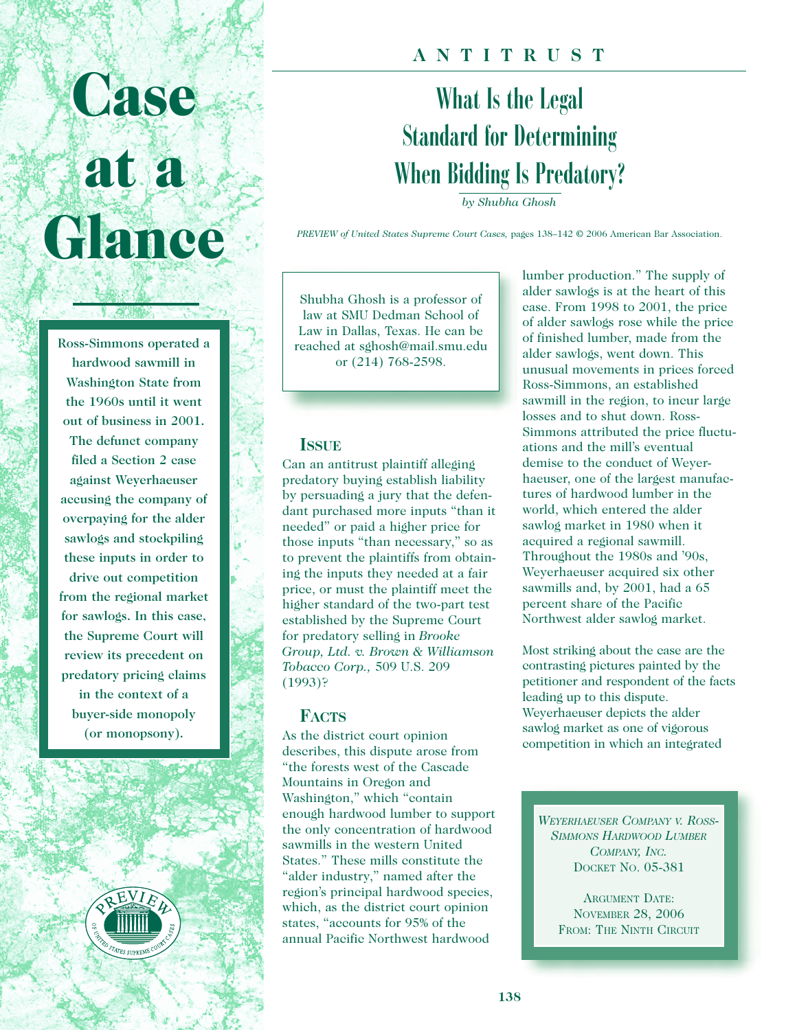# **Case Case at a at a Glance Glance**

Ross-Simmons operated a hardwood sawmill in Washington State from the 1960s until it went out of business in 2001. The defunct company filed a Section 2 case against Weyerhaeuser accusing the company of overpaying for the alder sawlogs and stockpiling these inputs in order to drive out competition from the regional market for sawlogs. In this case, the Supreme Court will review its precedent on predatory pricing claims in the context of a buyer-side monopoly (or monopsony).



## **ANTITRUST**

# What Is the Legal Standard for Determining When Bidding Is Predatory?

*by Shubha Ghosh*

*PREVIEW of United States Supreme Court Cases,* pages 138–142 © 2006 American Bar Association.

Shubha Ghosh is a professor of law at SMU Dedman School of Law in Dallas, Texas. He can be reached at sghosh@mail.smu.edu or (214) 768-2598.

#### **ISSUE**

Can an antitrust plaintiff alleging predatory buying establish liability by persuading a jury that the defendant purchased more inputs "than it needed" or paid a higher price for those inputs "than necessary," so as to prevent the plaintiffs from obtaining the inputs they needed at a fair price, or must the plaintiff meet the higher standard of the two-part test established by the Supreme Court for predatory selling in *Brooke Group, Ltd. v. Brown & Williamson Tobacco Corp.,* 509 U.S. 209 (1993)?

#### **FACTS**

As the district court opinion describes, this dispute arose from "the forests west of the Cascade Mountains in Oregon and Washington," which "contain enough hardwood lumber to support the only concentration of hardwood sawmills in the western United States." These mills constitute the "alder industry," named after the region's principal hardwood species, which, as the district court opinion states, "accounts for 95% of the annual Pacific Northwest hardwood

lumber production." The supply of alder sawlogs is at the heart of this case. From 1998 to 2001, the price of alder sawlogs rose while the price of finished lumber, made from the alder sawlogs, went down. This unusual movements in prices forced Ross-Simmons, an established sawmill in the region, to incur large losses and to shut down. Ross-Simmons attributed the price fluctuations and the mill's eventual demise to the conduct of Weyerhaeuser, one of the largest manufactures of hardwood lumber in the world, which entered the alder sawlog market in 1980 when it acquired a regional sawmill. Throughout the 1980s and '90s, Weyerhaeuser acquired six other sawmills and, by 2001, had a 65 percent share of the Pacific Northwest alder sawlog market.

Most striking about the case are the contrasting pictures painted by the petitioner and respondent of the facts leading up to this dispute. Weyerhaeuser depicts the alder sawlog market as one of vigorous competition in which an integrated

*WEYERHAEUSER COMPANY V. ROSS-SIMMONS HARDWOOD LUMBER COMPANY, INC.* DOCKET NO. 05-381

ARGUMENT DATE: NOVEMBER 28, 2006 FROM: THE NINTH CIRCUIT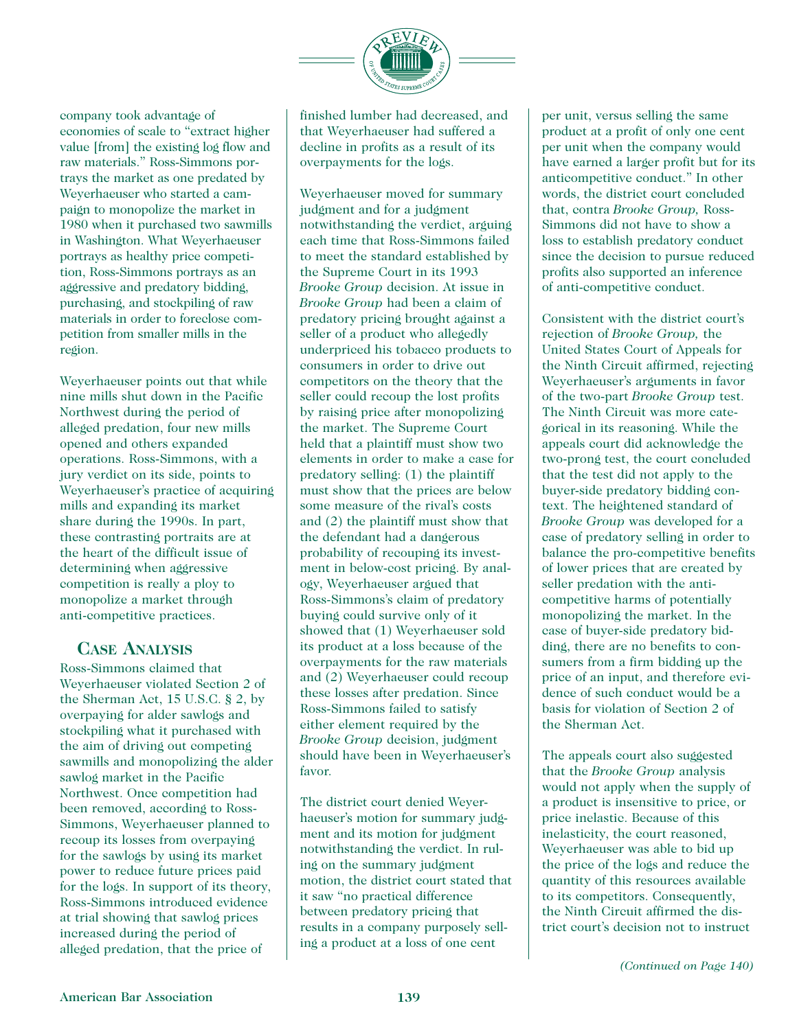

company took advantage of economies of scale to "extract higher value [from] the existing log flow and raw materials." Ross-Simmons portrays the market as one predated by Weyerhaeuser who started a campaign to monopolize the market in 1980 when it purchased two sawmills in Washington. What Weyerhaeuser portrays as healthy price competition, Ross-Simmons portrays as an aggressive and predatory bidding, purchasing, and stockpiling of raw materials in order to foreclose competition from smaller mills in the region.

Weyerhaeuser points out that while nine mills shut down in the Pacific Northwest during the period of alleged predation, four new mills opened and others expanded operations. Ross-Simmons, with a jury verdict on its side, points to Weyerhaeuser's practice of acquiring mills and expanding its market share during the 1990s. In part, these contrasting portraits are at the heart of the difficult issue of determining when aggressive competition is really a ploy to monopolize a market through anti-competitive practices.

#### **CASE ANALYSIS**

Ross-Simmons claimed that Weyerhaeuser violated Section 2 of the Sherman Act, 15 U.S.C. § 2, by overpaying for alder sawlogs and stockpiling what it purchased with the aim of driving out competing sawmills and monopolizing the alder sawlog market in the Pacific Northwest. Once competition had been removed, according to Ross-Simmons, Weyerhaeuser planned to recoup its losses from overpaying for the sawlogs by using its market power to reduce future prices paid for the logs. In support of its theory, Ross-Simmons introduced evidence at trial showing that sawlog prices increased during the period of alleged predation, that the price of

finished lumber had decreased, and that Weyerhaeuser had suffered a decline in profits as a result of its overpayments for the logs.

Weyerhaeuser moved for summary judgment and for a judgment notwithstanding the verdict, arguing each time that Ross-Simmons failed to meet the standard established by the Supreme Court in its 1993 *Brooke Group* decision. At issue in *Brooke Group* had been a claim of predatory pricing brought against a seller of a product who allegedly underpriced his tobacco products to consumers in order to drive out competitors on the theory that the seller could recoup the lost profits by raising price after monopolizing the market. The Supreme Court held that a plaintiff must show two elements in order to make a case for predatory selling: (1) the plaintiff must show that the prices are below some measure of the rival's costs and (2) the plaintiff must show that the defendant had a dangerous probability of recouping its investment in below-cost pricing. By analogy, Weyerhaeuser argued that Ross-Simmons's claim of predatory buying could survive only of it showed that (1) Weyerhaeuser sold its product at a loss because of the overpayments for the raw materials and (2) Weyerhaeuser could recoup these losses after predation. Since Ross-Simmons failed to satisfy either element required by the *Brooke Group* decision, judgment should have been in Weyerhaeuser's favor.

The district court denied Weyerhaeuser's motion for summary judgment and its motion for judgment notwithstanding the verdict. In ruling on the summary judgment motion, the district court stated that it saw "no practical difference between predatory pricing that results in a company purposely selling a product at a loss of one cent

per unit, versus selling the same product at a profit of only one cent per unit when the company would have earned a larger profit but for its anticompetitive conduct." In other words, the district court concluded that, contra *Brooke Group,* Ross-Simmons did not have to show a loss to establish predatory conduct since the decision to pursue reduced profits also supported an inference of anti-competitive conduct.

Consistent with the district court's rejection of *Brooke Group,* the United States Court of Appeals for the Ninth Circuit affirmed, rejecting Weyerhaeuser's arguments in favor of the two-part *Brooke Group* test. The Ninth Circuit was more categorical in its reasoning. While the appeals court did acknowledge the two-prong test, the court concluded that the test did not apply to the buyer-side predatory bidding context. The heightened standard of *Brooke Group* was developed for a case of predatory selling in order to balance the pro-competitive benefits of lower prices that are created by seller predation with the anticompetitive harms of potentially monopolizing the market. In the case of buyer-side predatory bidding, there are no benefits to consumers from a firm bidding up the price of an input, and therefore evidence of such conduct would be a basis for violation of Section 2 of the Sherman Act.

The appeals court also suggested that the *Brooke Group* analysis would not apply when the supply of a product is insensitive to price, or price inelastic. Because of this inelasticity, the court reasoned, Weyerhaeuser was able to bid up the price of the logs and reduce the quantity of this resources available to its competitors. Consequently, the Ninth Circuit affirmed the district court's decision not to instruct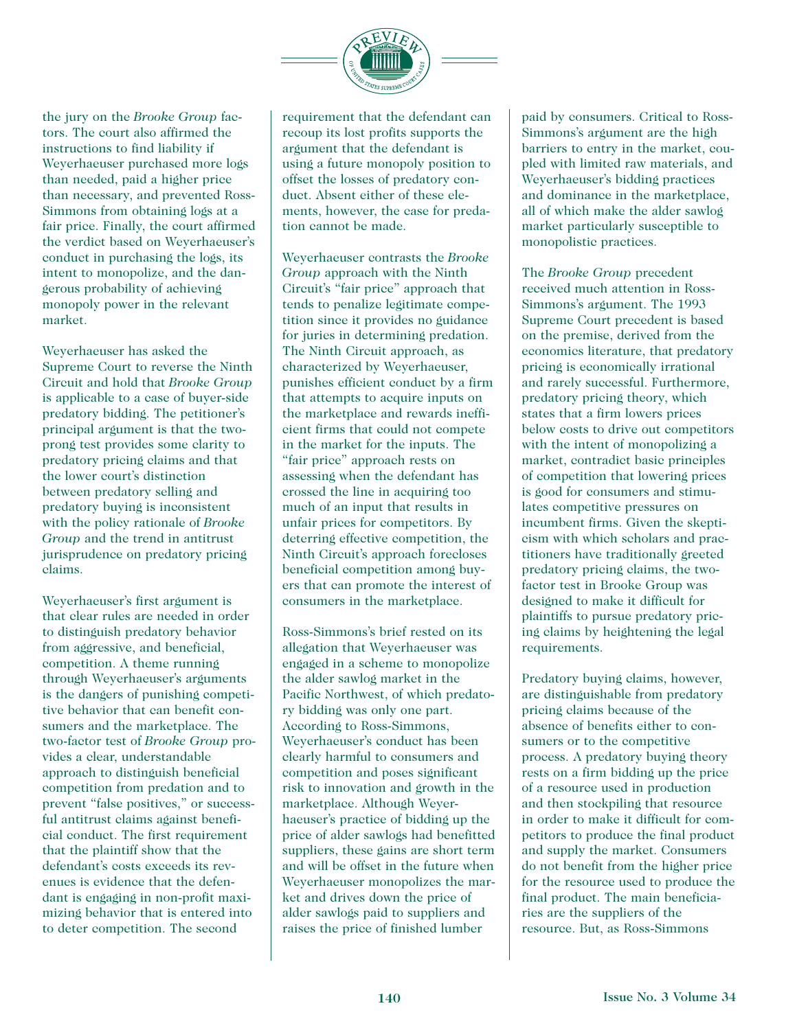

the jury on the *Brooke Group* factors. The court also affirmed the instructions to find liability if Weyerhaeuser purchased more logs than needed, paid a higher price than necessary, and prevented Ross-Simmons from obtaining logs at a fair price. Finally, the court affirmed the verdict based on Weyerhaeuser's conduct in purchasing the logs, its intent to monopolize, and the dangerous probability of achieving monopoly power in the relevant market.

Weyerhaeuser has asked the Supreme Court to reverse the Ninth Circuit and hold that *Brooke Group* is applicable to a case of buyer-side predatory bidding. The petitioner's principal argument is that the twoprong test provides some clarity to predatory pricing claims and that the lower court's distinction between predatory selling and predatory buying is inconsistent with the policy rationale of *Brooke Group* and the trend in antitrust jurisprudence on predatory pricing claims.

Weyerhaeuser's first argument is that clear rules are needed in order to distinguish predatory behavior from aggressive, and beneficial, competition. A theme running through Weyerhaeuser's arguments is the dangers of punishing competitive behavior that can benefit consumers and the marketplace. The two-factor test of *Brooke Group* provides a clear, understandable approach to distinguish beneficial competition from predation and to prevent "false positives," or successful antitrust claims against beneficial conduct. The first requirement that the plaintiff show that the defendant's costs exceeds its revenues is evidence that the defendant is engaging in non-profit maximizing behavior that is entered into to deter competition. The second

requirement that the defendant can recoup its lost profits supports the argument that the defendant is using a future monopoly position to offset the losses of predatory conduct. Absent either of these elements, however, the case for predation cannot be made.

Weyerhaeuser contrasts the *Brooke Group* approach with the Ninth Circuit's "fair price" approach that tends to penalize legitimate competition since it provides no guidance for juries in determining predation. The Ninth Circuit approach, as characterized by Weyerhaeuser, punishes efficient conduct by a firm that attempts to acquire inputs on the marketplace and rewards inefficient firms that could not compete in the market for the inputs. The "fair price" approach rests on assessing when the defendant has crossed the line in acquiring too much of an input that results in unfair prices for competitors. By deterring effective competition, the Ninth Circuit's approach forecloses beneficial competition among buyers that can promote the interest of consumers in the marketplace.

Ross-Simmons's brief rested on its allegation that Weyerhaeuser was engaged in a scheme to monopolize the alder sawlog market in the Pacific Northwest, of which predatory bidding was only one part. According to Ross-Simmons, Weyerhaeuser's conduct has been clearly harmful to consumers and competition and poses significant risk to innovation and growth in the marketplace. Although Weyerhaeuser's practice of bidding up the price of alder sawlogs had benefitted suppliers, these gains are short term and will be offset in the future when Weyerhaeuser monopolizes the market and drives down the price of alder sawlogs paid to suppliers and raises the price of finished lumber

paid by consumers. Critical to Ross-Simmons's argument are the high barriers to entry in the market, coupled with limited raw materials, and Weyerhaeuser's bidding practices and dominance in the marketplace, all of which make the alder sawlog market particularly susceptible to monopolistic practices.

The *Brooke Group* precedent received much attention in Ross-Simmons's argument. The 1993 Supreme Court precedent is based on the premise, derived from the economics literature, that predatory pricing is economically irrational and rarely successful. Furthermore, predatory pricing theory, which states that a firm lowers prices below costs to drive out competitors with the intent of monopolizing a market, contradict basic principles of competition that lowering prices is good for consumers and stimulates competitive pressures on incumbent firms. Given the skepticism with which scholars and practitioners have traditionally greeted predatory pricing claims, the twofactor test in Brooke Group was designed to make it difficult for plaintiffs to pursue predatory pricing claims by heightening the legal requirements.

Predatory buying claims, however, are distinguishable from predatory pricing claims because of the absence of benefits either to consumers or to the competitive process. A predatory buying theory rests on a firm bidding up the price of a resource used in production and then stockpiling that resource in order to make it difficult for competitors to produce the final product and supply the market. Consumers do not benefit from the higher price for the resource used to produce the final product. The main beneficiaries are the suppliers of the resource. But, as Ross-Simmons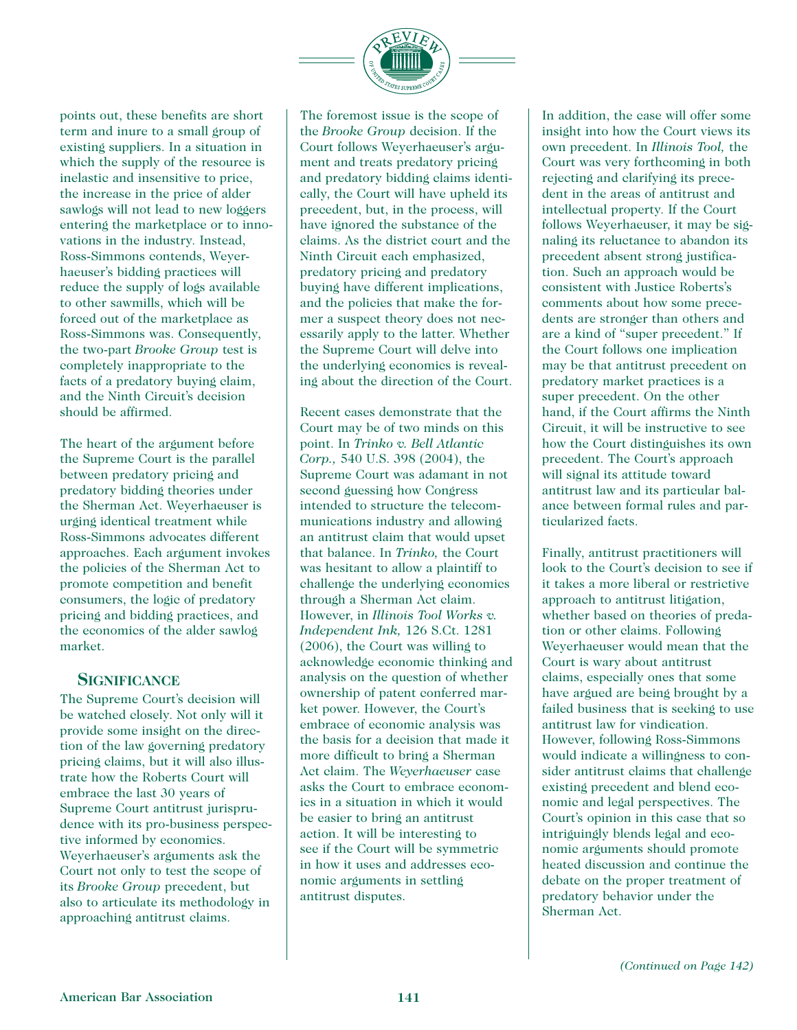

points out, these benefits are short term and inure to a small group of existing suppliers. In a situation in which the supply of the resource is inelastic and insensitive to price, the increase in the price of alder sawlogs will not lead to new loggers entering the marketplace or to innovations in the industry. Instead, Ross-Simmons contends, Weyerhaeuser's bidding practices will reduce the supply of logs available to other sawmills, which will be forced out of the marketplace as Ross-Simmons was. Consequently, the two-part *Brooke Group* test is completely inappropriate to the facts of a predatory buying claim, and the Ninth Circuit's decision should be affirmed.

The heart of the argument before the Supreme Court is the parallel between predatory pricing and predatory bidding theories under the Sherman Act. Weyerhaeuser is urging identical treatment while Ross-Simmons advocates different approaches. Each argument invokes the policies of the Sherman Act to promote competition and benefit consumers, the logic of predatory pricing and bidding practices, and the economics of the alder sawlog market.

#### **SIGNIFICANCE**

The Supreme Court's decision will be watched closely. Not only will it provide some insight on the direction of the law governing predatory pricing claims, but it will also illustrate how the Roberts Court will embrace the last 30 years of Supreme Court antitrust jurisprudence with its pro-business perspective informed by economics. Weyerhaeuser's arguments ask the Court not only to test the scope of its *Brooke Group* precedent, but also to articulate its methodology in approaching antitrust claims.

The foremost issue is the scope of the *Brooke Group* decision. If the Court follows Weyerhaeuser's argument and treats predatory pricing and predatory bidding claims identically, the Court will have upheld its precedent, but, in the process, will have ignored the substance of the claims. As the district court and the Ninth Circuit each emphasized, predatory pricing and predatory buying have different implications, and the policies that make the former a suspect theory does not necessarily apply to the latter. Whether the Supreme Court will delve into the underlying economics is revealing about the direction of the Court.

Recent cases demonstrate that the Court may be of two minds on this point. In *Trinko v. Bell Atlantic Corp.,* 540 U.S. 398 (2004), the Supreme Court was adamant in not second guessing how Congress intended to structure the telecommunications industry and allowing an antitrust claim that would upset that balance. In *Trinko,* the Court was hesitant to allow a plaintiff to challenge the underlying economics through a Sherman Act claim. However, in *Illinois Tool Works v. Independent Ink,* 126 S.Ct. 1281 (2006), the Court was willing to acknowledge economic thinking and analysis on the question of whether ownership of patent conferred market power. However, the Court's embrace of economic analysis was the basis for a decision that made it more difficult to bring a Sherman Act claim. The *Weyerhaeuser* case asks the Court to embrace economics in a situation in which it would be easier to bring an antitrust action. It will be interesting to see if the Court will be symmetric in how it uses and addresses economic arguments in settling antitrust disputes.

In addition, the case will offer some insight into how the Court views its own precedent. In *Illinois Tool,* the Court was very forthcoming in both rejecting and clarifying its precedent in the areas of antitrust and intellectual property. If the Court follows Weyerhaeuser, it may be signaling its reluctance to abandon its precedent absent strong justification. Such an approach would be consistent with Justice Roberts's comments about how some precedents are stronger than others and are a kind of "super precedent." If the Court follows one implication may be that antitrust precedent on predatory market practices is a super precedent. On the other hand, if the Court affirms the Ninth Circuit, it will be instructive to see how the Court distinguishes its own precedent. The Court's approach will signal its attitude toward antitrust law and its particular balance between formal rules and particularized facts.

Finally, antitrust practitioners will look to the Court's decision to see if it takes a more liberal or restrictive approach to antitrust litigation, whether based on theories of predation or other claims. Following Weyerhaeuser would mean that the Court is wary about antitrust claims, especially ones that some have argued are being brought by a failed business that is seeking to use antitrust law for vindication. However, following Ross-Simmons would indicate a willingness to consider antitrust claims that challenge existing precedent and blend economic and legal perspectives. The Court's opinion in this case that so intriguingly blends legal and economic arguments should promote heated discussion and continue the debate on the proper treatment of predatory behavior under the Sherman Act.